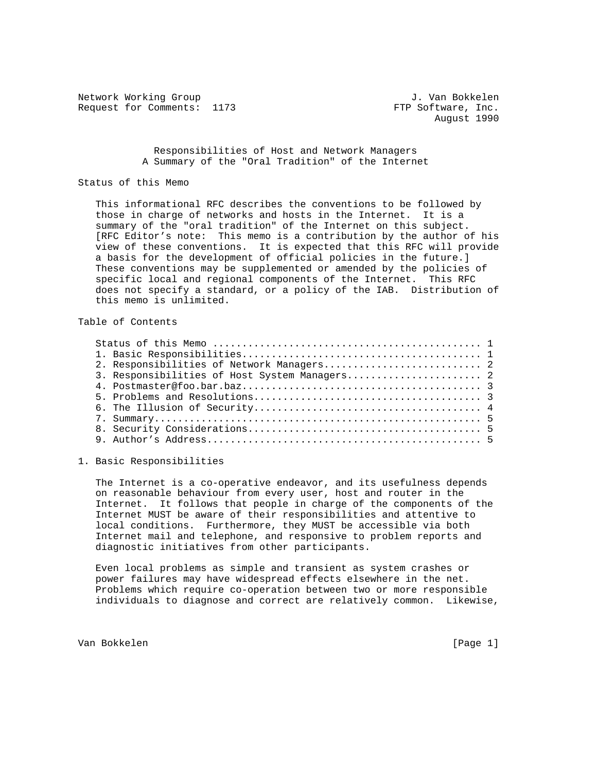Network Working Group J. Van Bokkelen Request for Comments: 1173 FTP Software, Inc.

## Responsibilities of Host and Network Managers A Summary of the "Oral Tradition" of the Internet

## Status of this Memo

 This informational RFC describes the conventions to be followed by those in charge of networks and hosts in the Internet. It is a summary of the "oral tradition" of the Internet on this subject. [RFC Editor's note: This memo is a contribution by the author of his view of these conventions. It is expected that this RFC will provide a basis for the development of official policies in the future.] These conventions may be supplemented or amended by the policies of specific local and regional components of the Internet. This RFC does not specify a standard, or a policy of the IAB. Distribution of this memo is unlimited.

## Table of Contents

| 3. Responsibilities of Host System Managers 2 |
|-----------------------------------------------|

1. Basic Responsibilities

 The Internet is a co-operative endeavor, and its usefulness depends on reasonable behaviour from every user, host and router in the Internet. It follows that people in charge of the components of the Internet MUST be aware of their responsibilities and attentive to local conditions. Furthermore, they MUST be accessible via both Internet mail and telephone, and responsive to problem reports and diagnostic initiatives from other participants.

 Even local problems as simple and transient as system crashes or power failures may have widespread effects elsewhere in the net. Problems which require co-operation between two or more responsible individuals to diagnose and correct are relatively common. Likewise,

Van Bokkelen [Page 1]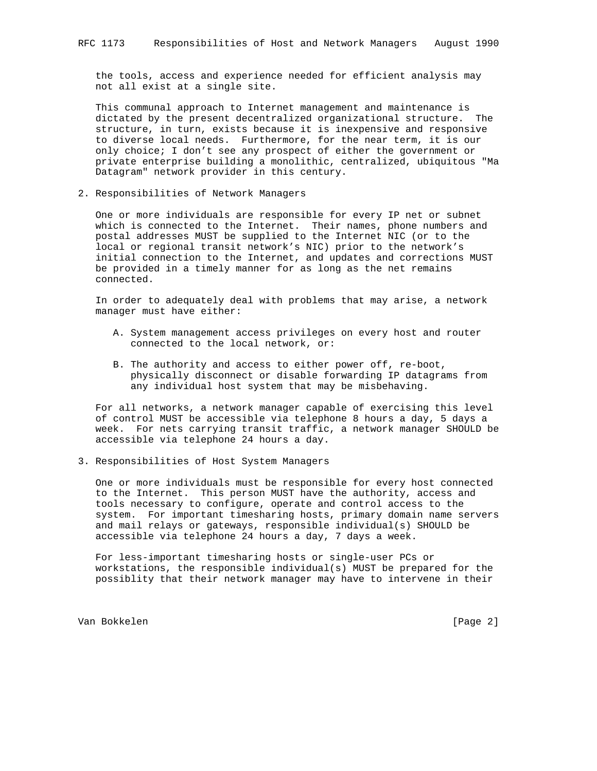the tools, access and experience needed for efficient analysis may not all exist at a single site.

 This communal approach to Internet management and maintenance is dictated by the present decentralized organizational structure. The structure, in turn, exists because it is inexpensive and responsive to diverse local needs. Furthermore, for the near term, it is our only choice; I don't see any prospect of either the government or private enterprise building a monolithic, centralized, ubiquitous "Ma Datagram" network provider in this century.

2. Responsibilities of Network Managers

 One or more individuals are responsible for every IP net or subnet which is connected to the Internet. Their names, phone numbers and postal addresses MUST be supplied to the Internet NIC (or to the local or regional transit network's NIC) prior to the network's initial connection to the Internet, and updates and corrections MUST be provided in a timely manner for as long as the net remains connected.

 In order to adequately deal with problems that may arise, a network manager must have either:

- A. System management access privileges on every host and router connected to the local network, or:
- B. The authority and access to either power off, re-boot, physically disconnect or disable forwarding IP datagrams from any individual host system that may be misbehaving.

 For all networks, a network manager capable of exercising this level of control MUST be accessible via telephone 8 hours a day, 5 days a week. For nets carrying transit traffic, a network manager SHOULD be accessible via telephone 24 hours a day.

3. Responsibilities of Host System Managers

 One or more individuals must be responsible for every host connected to the Internet. This person MUST have the authority, access and tools necessary to configure, operate and control access to the system. For important timesharing hosts, primary domain name servers and mail relays or gateways, responsible individual(s) SHOULD be accessible via telephone 24 hours a day, 7 days a week.

 For less-important timesharing hosts or single-user PCs or workstations, the responsible individual(s) MUST be prepared for the possiblity that their network manager may have to intervene in their

Van Bokkelen [Page 2]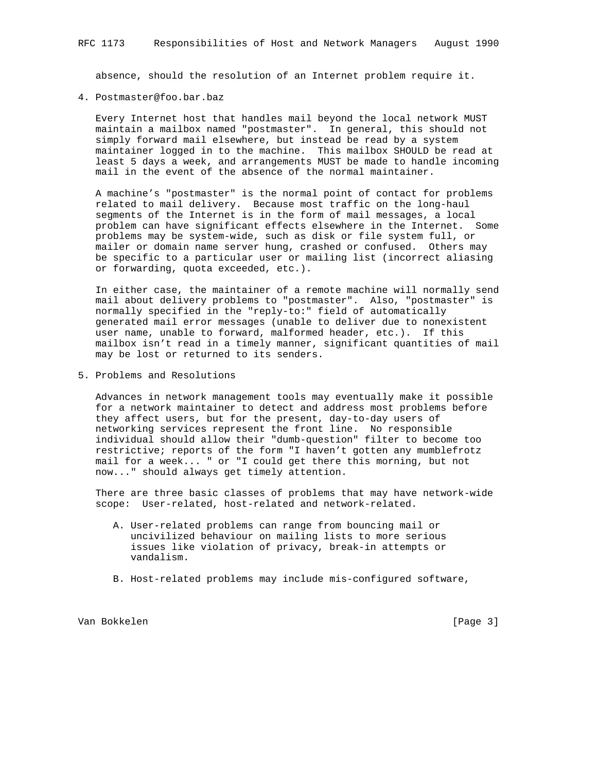absence, should the resolution of an Internet problem require it.

4. Postmaster@foo.bar.baz

 Every Internet host that handles mail beyond the local network MUST maintain a mailbox named "postmaster". In general, this should not simply forward mail elsewhere, but instead be read by a system maintainer logged in to the machine. This mailbox SHOULD be read at least 5 days a week, and arrangements MUST be made to handle incoming mail in the event of the absence of the normal maintainer.

 A machine's "postmaster" is the normal point of contact for problems related to mail delivery. Because most traffic on the long-haul segments of the Internet is in the form of mail messages, a local problem can have significant effects elsewhere in the Internet. Some problems may be system-wide, such as disk or file system full, or mailer or domain name server hung, crashed or confused. Others may be specific to a particular user or mailing list (incorrect aliasing or forwarding, quota exceeded, etc.).

 In either case, the maintainer of a remote machine will normally send mail about delivery problems to "postmaster". Also, "postmaster" is normally specified in the "reply-to:" field of automatically generated mail error messages (unable to deliver due to nonexistent user name, unable to forward, malformed header, etc.). If this mailbox isn't read in a timely manner, significant quantities of mail may be lost or returned to its senders.

5. Problems and Resolutions

 Advances in network management tools may eventually make it possible for a network maintainer to detect and address most problems before they affect users, but for the present, day-to-day users of networking services represent the front line. No responsible individual should allow their "dumb-question" filter to become too restrictive; reports of the form "I haven't gotten any mumblefrotz mail for a week... " or "I could get there this morning, but not now..." should always get timely attention.

 There are three basic classes of problems that may have network-wide scope: User-related, host-related and network-related.

- A. User-related problems can range from bouncing mail or uncivilized behaviour on mailing lists to more serious issues like violation of privacy, break-in attempts or vandalism.
- B. Host-related problems may include mis-configured software,

Van Bokkelen is a version of the set of the set of the set of the set of the set of the set of the set of the set of the set of the set of the set of the set of the set of the set of the set of the set of the set of the se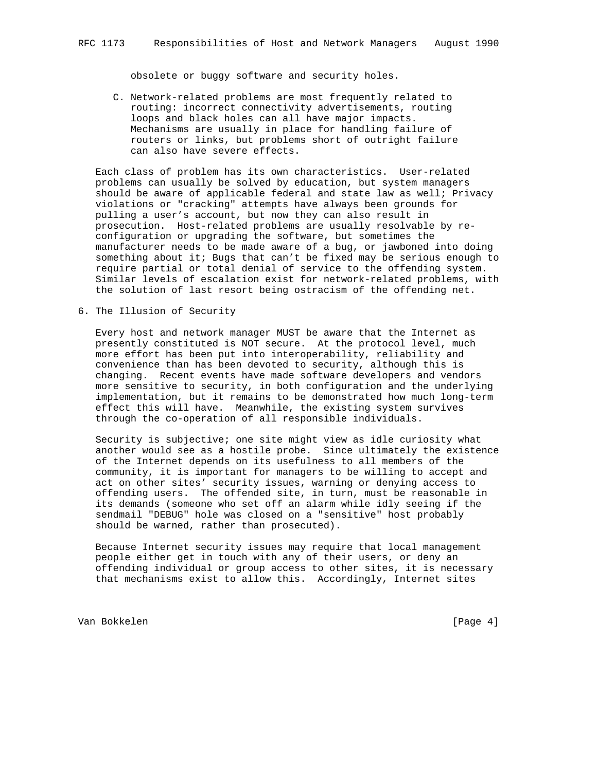obsolete or buggy software and security holes.

 C. Network-related problems are most frequently related to routing: incorrect connectivity advertisements, routing loops and black holes can all have major impacts. Mechanisms are usually in place for handling failure of routers or links, but problems short of outright failure can also have severe effects.

 Each class of problem has its own characteristics. User-related problems can usually be solved by education, but system managers should be aware of applicable federal and state law as well; Privacy violations or "cracking" attempts have always been grounds for pulling a user's account, but now they can also result in prosecution. Host-related problems are usually resolvable by re configuration or upgrading the software, but sometimes the manufacturer needs to be made aware of a bug, or jawboned into doing something about it; Bugs that can't be fixed may be serious enough to require partial or total denial of service to the offending system. Similar levels of escalation exist for network-related problems, with the solution of last resort being ostracism of the offending net.

6. The Illusion of Security

 Every host and network manager MUST be aware that the Internet as presently constituted is NOT secure. At the protocol level, much more effort has been put into interoperability, reliability and convenience than has been devoted to security, although this is changing. Recent events have made software developers and vendors more sensitive to security, in both configuration and the underlying implementation, but it remains to be demonstrated how much long-term effect this will have. Meanwhile, the existing system survives through the co-operation of all responsible individuals.

 Security is subjective; one site might view as idle curiosity what another would see as a hostile probe. Since ultimately the existence of the Internet depends on its usefulness to all members of the community, it is important for managers to be willing to accept and act on other sites' security issues, warning or denying access to offending users. The offended site, in turn, must be reasonable in its demands (someone who set off an alarm while idly seeing if the sendmail "DEBUG" hole was closed on a "sensitive" host probably should be warned, rather than prosecuted).

 Because Internet security issues may require that local management people either get in touch with any of their users, or deny an offending individual or group access to other sites, it is necessary that mechanisms exist to allow this. Accordingly, Internet sites

Van Bokkelen [Page 4]